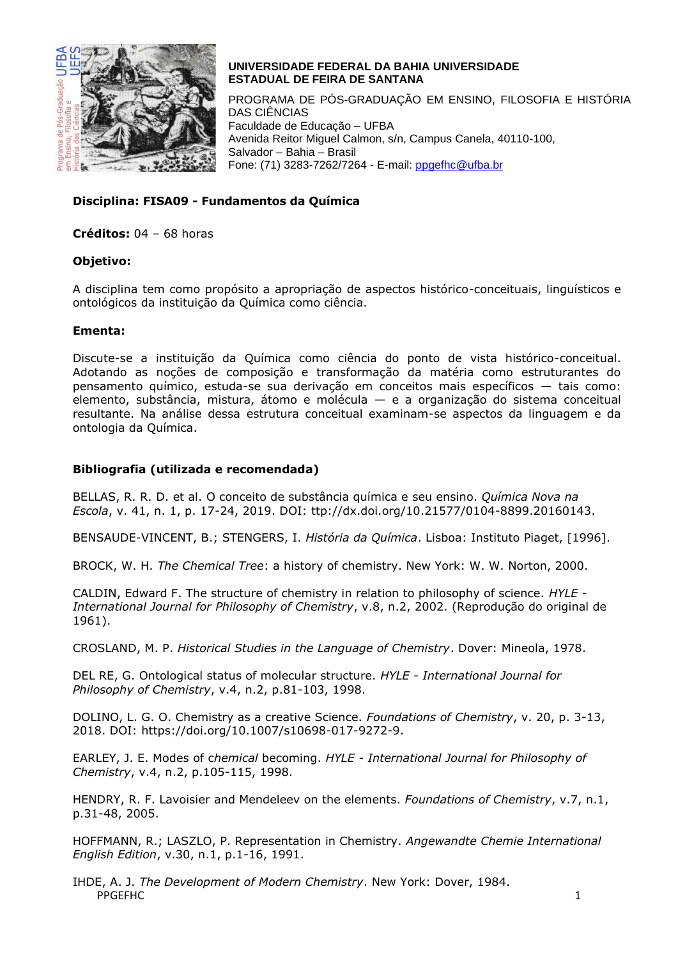

## **UNIVERSIDADE FEDERAL DA BAHIA UNIVERSIDADE ESTADUAL DE FEIRA DE SANTANA**

PROGRAMA DE PÓS-GRADUAÇÃO EM ENSINO, FILOSOFIA E HISTÓRIA DAS CIÊNCIAS Faculdade de Educação – UFBA Avenida Reitor Miguel Calmon, s/n, Campus Canela, 40110-100, Salvador – Bahia – Brasil Fone: (71) 3283-7262/7264 - E-mail: [ppgefhc@ufba.br](mailto:ppgefhc@ufba.br)

# **Disciplina: FISA09 - Fundamentos da Química**

**Créditos:** 04 – 68 horas

### **Objetivo:**

A disciplina tem como propósito a apropriação de aspectos histórico-conceituais, linguísticos e ontológicos da instituição da Química como ciência.

### **Ementa:**

Discute-se a instituição da Química como ciência do ponto de vista histórico-conceitual. Adotando as noções de composição e transformação da matéria como estruturantes do pensamento químico, estuda-se sua derivação em conceitos mais específicos — tais como: elemento, substância, mistura, átomo e molécula — e a organização do sistema conceitual resultante. Na análise dessa estrutura conceitual examinam-se aspectos da linguagem e da ontologia da Química.

## **Bibliografia (utilizada e recomendada)**

BELLAS, R. R. D. et al. O conceito de substância química e seu ensino. *Química Nova na Escola*, v. 41, n. 1, p. 17-24, 2019. DOI: ttp://dx.doi.org/10.21577/0104-8899.20160143.

BENSAUDE-VINCENT, B.; STENGERS, I. *História da Química*. Lisboa: Instituto Piaget, [1996].

BROCK, W. H. *The Chemical Tree*: a history of chemistry. New York: W. W. Norton, 2000.

CALDIN, Edward F. The structure of chemistry in relation to philosophy of science. *HYLE - International Journal for Philosophy of Chemistry*, v.8, n.2, 2002. (Reprodução do original de 1961).

CROSLAND, M. P. *Historical Studies in the Language of Chemistry*. Dover: Mineola, 1978.

DEL RE, G. Ontological status of molecular structure. *HYLE - International Journal for Philosophy of Chemistry*, v.4, n.2, p.81-103, 1998.

DOLINO, L. G. O. Chemistry as a creative Science. *Foundations of Chemistry*, v. 20, p. 3-13, 2018. DOI: https://doi.org/10.1007/s10698-017-9272-9.

EARLEY, J. E. Modes of c*hemical* becoming. *HYLE - International Journal for Philosophy of Chemistry*, v.4, n.2, p.105-115, 1998.

HENDRY, R. F. Lavoisier and Mendeleev on the elements. *Foundations of Chemistry*, v.7, n.1, p.31-48, 2005.

HOFFMANN, R.; LASZLO, P. Representation in Chemistry. *Angewandte Chemie International English Edition*, v.30, n.1, p.1-16, 1991.

PPGEFHC 1 IHDE, A. J. *The Development of Modern Chemistry*. New York: Dover, 1984.